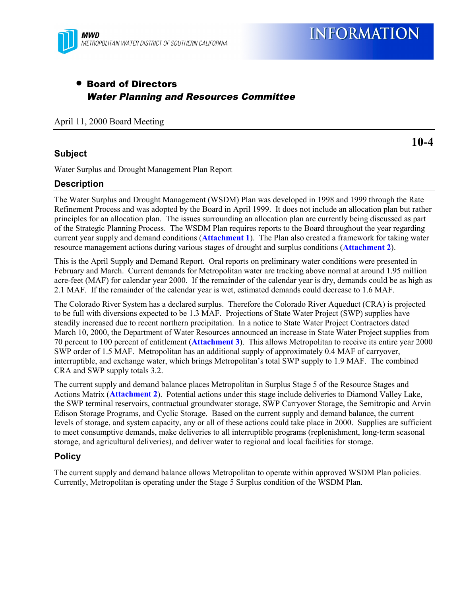

**INFORMATION** 

# • Board of Directors Water Planning and Resources Committee

April 11, 2000 Board Meeting

## **Subject**

**10-4**

Water Surplus and Drought Management Plan Report

## **Description**

The Water Surplus and Drought Management (WSDM) Plan was developed in 1998 and 1999 through the Rate Refinement Process and was adopted by the Board in April 1999. It does not include an allocation plan but rather principles for an allocation plan. The issues surrounding an allocation plan are currently being discussed as part of the Strategic Planning Process. The WSDM Plan requires reports to the Board throughout the year regarding current year supply and demand conditions (**Attachment 1**). The Plan also created a framework for taking water resource management actions during various stages of drought and surplus conditions (**Attachment 2**).

This is the April Supply and Demand Report. Oral reports on preliminary water conditions were presented in February and March. Current demands for Metropolitan water are tracking above normal at around 1.95 million acre-feet (MAF) for calendar year 2000. If the remainder of the calendar year is dry, demands could be as high as 2.1 MAF. If the remainder of the calendar year is wet, estimated demands could decrease to 1.6 MAF.

The Colorado River System has a declared surplus. Therefore the Colorado River Aqueduct (CRA) is projected to be full with diversions expected to be 1.3 MAF. Projections of State Water Project (SWP) supplies have steadily increased due to recent northern precipitation. In a notice to State Water Project Contractors dated March 10, 2000, the Department of Water Resources announced an increase in State Water Project supplies from 70 percent to 100 percent of entitlement (**Attachment 3**). This allows Metropolitan to receive its entire year 2000 SWP order of 1.5 MAF. Metropolitan has an additional supply of approximately 0.4 MAF of carryover, interruptible, and exchange water, which brings Metropolitan's total SWP supply to 1.9 MAF. The combined CRA and SWP supply totals 3.2.

The current supply and demand balance places Metropolitan in Surplus Stage 5 of the Resource Stages and Actions Matrix (**Attachment 2**). Potential actions under this stage include deliveries to Diamond Valley Lake, the SWP terminal reservoirs, contractual groundwater storage, SWP Carryover Storage, the Semitropic and Arvin Edison Storage Programs, and Cyclic Storage. Based on the current supply and demand balance, the current levels of storage, and system capacity, any or all of these actions could take place in 2000. Supplies are sufficient to meet consumptive demands, make deliveries to all interruptible programs (replenishment, long-term seasonal storage, and agricultural deliveries), and deliver water to regional and local facilities for storage.

#### **Policy**

The current supply and demand balance allows Metropolitan to operate within approved WSDM Plan policies. Currently, Metropolitan is operating under the Stage 5 Surplus condition of the WSDM Plan.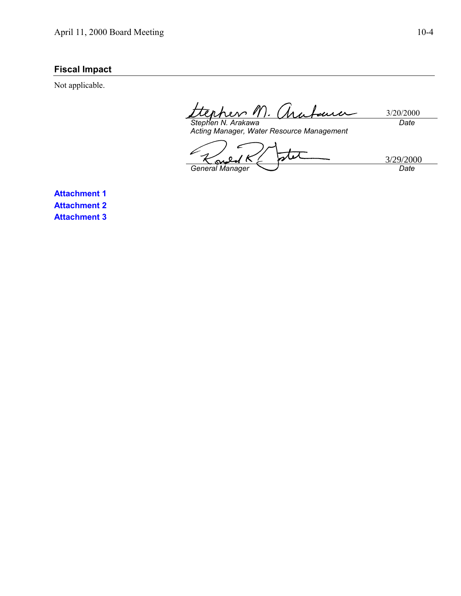# **Fiscal Impact**

Not applicable.

 $M$ 3/20/2000  $n$ *h*eno  $\overline{\mathcal{L}}$ *Date*

*Stephen N. Arakawa Acting Manager, Water Resource Management*

tit 3/29/2000 $\Omega$ К n, k *General Manager Date*

**Attachment 1 Attachment 2 Attachment 3**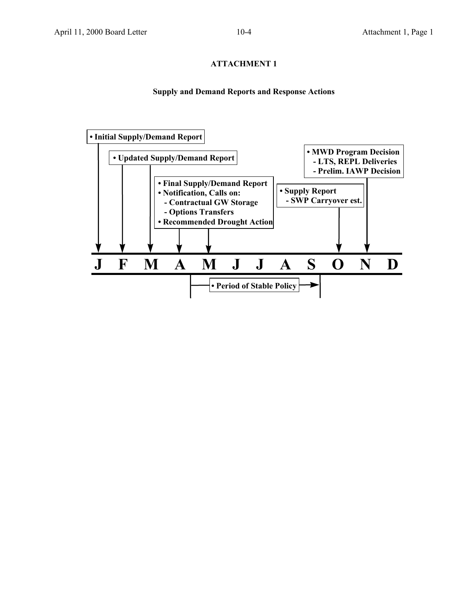# **ATTACHMENT 1**

#### **Supply and Demand Reports and Response Actions**

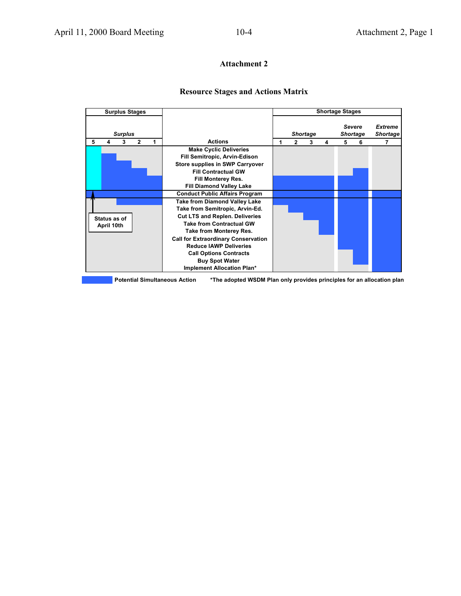#### **Attachment 2**

#### **Resource Stages and Actions Matrix**

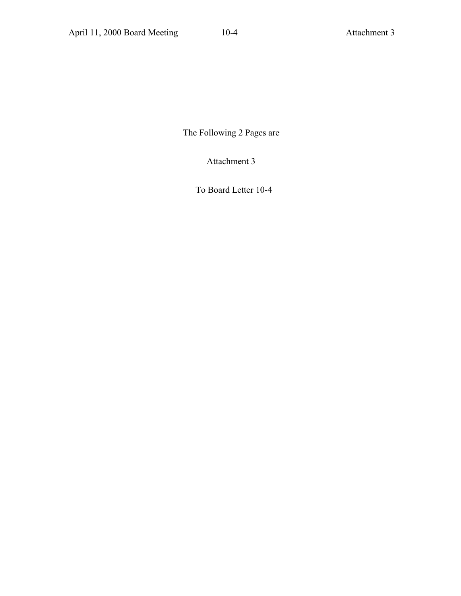The Following 2 Pages are

Attachment 3

To Board Letter 10-4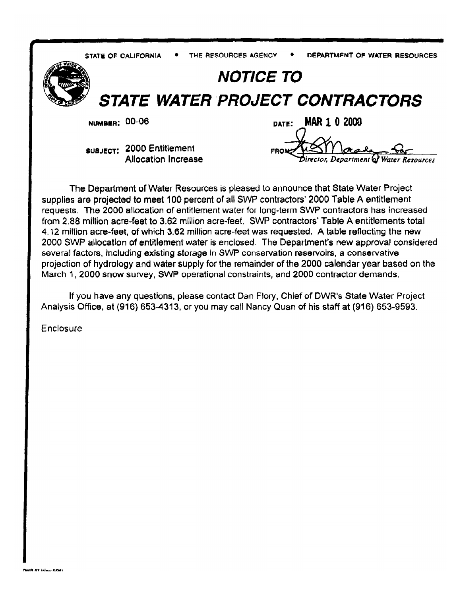THE RESOURCES AGENCY STATE OF CALIFORNIA

DEPARTMENT OF WATER RESOURCES



# **NOTICE TO**

**STATE WATER PROJECT CONTRACTORS** 

**NUMBER: 00-06** 

**SUBJECT: 2000 Entitlement** Allocation Increase

**MAR 1 0 2000** DATE: FROM Director, Department of Water Resources

The Department of Water Resources is pleased to announce that State Water Project supplies are projected to meet 100 percent of all SWP contractors' 2000 Table A entitlement requests. The 2000 allocation of entitlement water for long-term SWP contractors has increased from 2.88 million acre-feet to 3.62 million acre-feet. SWP contractors' Table A entitlements total 4.12 million acre-feet, of which 3.62 million acre-feet was requested. A table reflecting the new 2000 SWP allocation of entitlement water is enclosed. The Department's new approval considered several factors, including existing storage in SWP conservation reservoirs, a conservative projection of hydrology and water supply for the remainder of the 2000 calendar year based on the March 1, 2000 snow survey, SWP operational constraints, and 2000 contractor demands.

If you have any questions, please contact Dan Flory, Chief of DWR's State Water Project Analysis Office, at (916) 653-4313, or you may call Nancy Quan of his staff at (916) 653-9593.

Enclosure